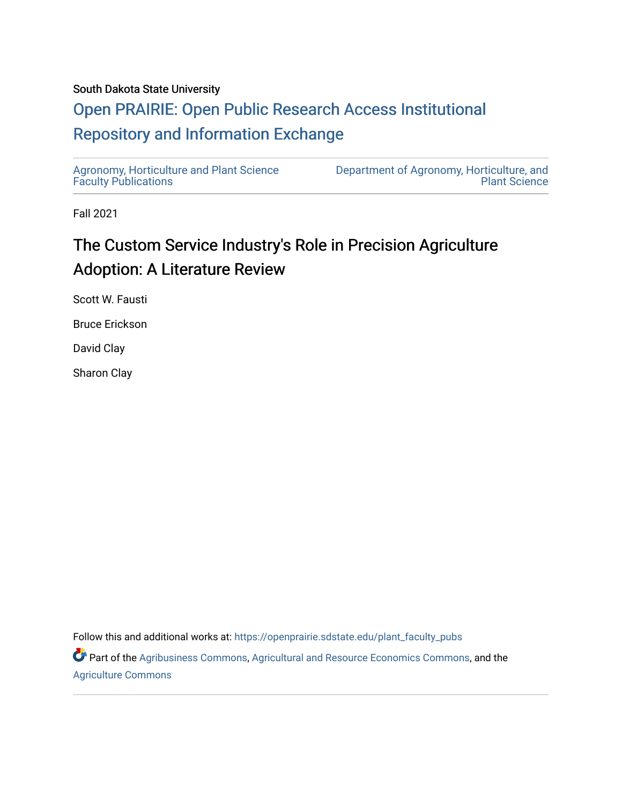#### South Dakota State University

# [Open PRAIRIE: Open Public Research Access Institutional](https://openprairie.sdstate.edu/)  [Repository and Information Exchange](https://openprairie.sdstate.edu/)

[Agronomy, Horticulture and Plant Science](https://openprairie.sdstate.edu/plant_faculty_pubs)  [Faculty Publications](https://openprairie.sdstate.edu/plant_faculty_pubs)

[Department of Agronomy, Horticulture, and](https://openprairie.sdstate.edu/plant)  [Plant Science](https://openprairie.sdstate.edu/plant) 

Fall 2021

# The Custom Service Industry's Role in Precision Agriculture Adoption: A Literature Review

Scott W. Fausti

Bruce Erickson

David Clay

Sharon Clay

Follow this and additional works at: [https://openprairie.sdstate.edu/plant\\_faculty\\_pubs](https://openprairie.sdstate.edu/plant_faculty_pubs?utm_source=openprairie.sdstate.edu%2Fplant_faculty_pubs%2F383&utm_medium=PDF&utm_campaign=PDFCoverPages)

Part of the [Agribusiness Commons,](http://network.bepress.com/hgg/discipline/1051?utm_source=openprairie.sdstate.edu%2Fplant_faculty_pubs%2F383&utm_medium=PDF&utm_campaign=PDFCoverPages) [Agricultural and Resource Economics Commons,](http://network.bepress.com/hgg/discipline/317?utm_source=openprairie.sdstate.edu%2Fplant_faculty_pubs%2F383&utm_medium=PDF&utm_campaign=PDFCoverPages) and the [Agriculture Commons](http://network.bepress.com/hgg/discipline/1076?utm_source=openprairie.sdstate.edu%2Fplant_faculty_pubs%2F383&utm_medium=PDF&utm_campaign=PDFCoverPages)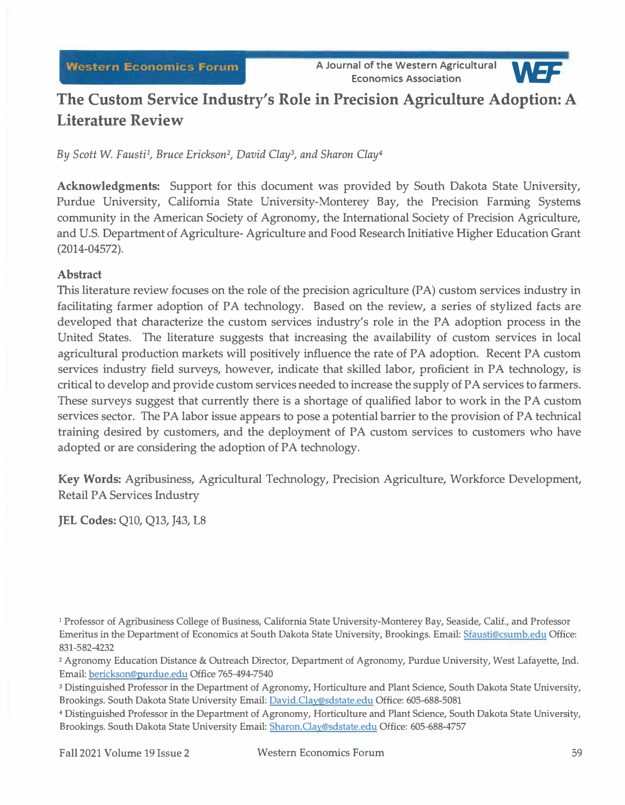**A Journal of the Western Agricultural Economics Association** *ve=* 



# **The Custom Service Industry's Role in Precision Agriculture Adoption: A Literature Review**

By Scott W. Fausti<sup>1</sup>, Bruce Erickson<sup>2</sup>, David Clay<sup>3</sup>, and Sharon Clay<sup>4</sup>

**Acknowledgments:** Support for this document was provided by South Dakota State University, Purdue University, California State University-Monterey Bay, the Precision Farming Systems community in the American Society of Agronomy, the International Society of Precision Agriculture, and U.S. Department of Agriculture- Agriculture and Food Research Initiative Higher Education Grant (2014-04572).

## **Abstract**

This literature review focuses on the role of the precision agriculture (PA) custom services industry in facilitating farmer adoption of PA technology. Based on the review, a series of stylized facts are developed that characterize the custom services industry's role in the PA adoption process in the United States. The literature suggests that increasing the availability of custom services in local agricultural production markets will positively influence the rate of PA adoption. Recent PA custom services industry field surveys, however, indicate that skilled labor, proficient in PA technology, is critical to develop and provide custom services needed to increase the supply of PA services to farmers. These surveys suggest that currently there is a shortage of qualified labor to work in the PA custom services sector. The PA labor issue appears to pose a potential barrier to the provision of PA technical training desired by customers, and the deployment of PA custom services to customers who have adopted or are considering the adoption of PA technology.

**Key Words:** Agribusiness, Agricultural Technology, Precision Agriculture, Workforce Development, Retail PA Services Industry

**JEL Codes: Q10, Q13, J43, L8** 

**<sup>1</sup>**Professor of Agribusiness College of Business, California State University-Monterey Bay, Seaside, Calif., and Professor Emeritus in the Department of Economics at South Dakota State University, Brookings. Email: Sfausti@csumb.edu Office: 831-582-4232

**<sup>2</sup>**Agronomy Education Distance & Outreach Director, Department of Agronomy, Purdue University, West Lafayette, Ind. Email: berickson@purdue.edu Office 765-494-7540

**<sup>3</sup>**Distinguished Professor in the Department of Agronomy, Horticulture and Plant Science, South Dakota State University, Brookings. South Dakota State University Email: David.Clay@sdstate.edu Office: 605-688-5081

**<sup>4</sup>**Distinguished Professor in the Department of Agronomy, Horticulture and Plant Science, South Dakota State University, Brookings. South Dakota State University Email: Sharon.Clay@sdstate.edu Office: 605-688-4757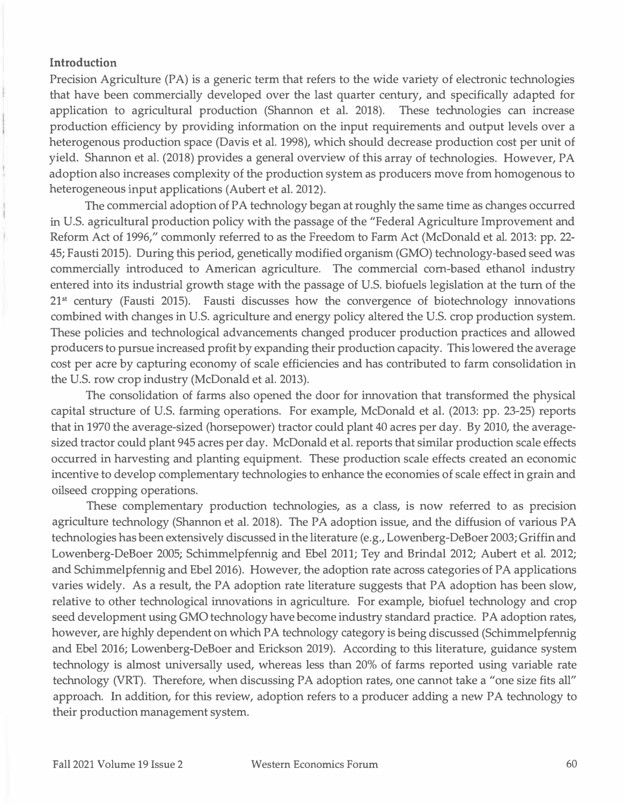#### **Introduction**

Precision Agriculture (PA) is a generic term that refers to the wide variety of electronic technologies that have been commercially developed over the last quarter century, and specifically adapted for application to agricultural production (Shannon et al. 2018). These technologies can increase production efficiency by providing information on the input requirements and output levels over a heterogenous production space (Davis et al. 1998), which should decrease production cost per unit of yield. Shannon et al. (2018) provides a general overview of this array of technologies. However, PA adoption also increases complexity of the production system as producers move from homogenous to heterogeneous input applications (Aubert et al. 2012).

The commercial adoption of PA technology began at roughly the same time as changes occurred in U.S. agricultural production policy with the passage of the "Federal Agriculture Improvement and Reform Act of 1996," commonly referred to as the Freedom to Farm Act (McDonald et al. 2013: pp. 22- 45; Fausti 2015). During this period, genetically modified organism (GMO) technology-based seed was commercially introduced to American agriculture. The commercial com-based ethanol industry entered into its industrial growth stage with the passage of U.S. biofuels legislation at the tum of the 21**st** century (Fausti 2015). Fausti discusses how the convergence of biotechnology innovations combined with changes in U.S. agriculture and energy policy altered the U.S. crop production system. These policies and technological advancements changed producer production practices and allowed producers to pursue increased profit by expanding their production capacity. This lowered the average cost per acre by capturing economy of scale efficiencies and has contributed to farm consolidation in the U.S. row crop industry (McDonald et al. 2013).

The consolidation of farms also opened the door for innovation that transformed the physical capital structure of U.S. farming operations. For example, McDonald et al. (2013: pp. 23-25) reports that in 1970 the average-sized (horsepower) tractor could plant 40 acres per day. By 2010, the averagesized tractor could plant 945 acres per day. McDonald et al. reports that similar production scale effects occurred in harvesting and planting equipment. These production scale effects created an economic incentive to develop complementary technologies to enhance the economies of scale effect in grain and oilseed cropping operations.

These complementary production technologies, as a class, is now referred to as precision agriculture technology (Shannon et al. 2018). The PA adoption issue, and the diffusion of various PA technologies has been extensively discussed in the literature ( e.g., Lowenberg-DeBoer 2003; Griffin and Lowenberg-DeBoer 2005; Schimmelpfennig and Ebel 2011; Tey and Brinda! 2012; Aubert et al. 2012; and Schimmelpfennig and Ebel 2016). However, the adoption rate across categories of PA applications varies widely. As a result, the PA adoption rate literature suggests that PA adoption has been slow, relative to other technological innovations in agriculture. For example, biofuel technology and crop seed development using GMO technology have become industry standard practice. PA adoption rates, however, are highly dependent on which PA technology category is being discussed (Schimmelpfennig and Ebel 2016; Lowenberg-DeBoer and Erickson 2019). According to this literature, guidance system technology is almost universally used, whereas less than 20% of farms reported using variable rate technology (VRT). Therefore, when discussing PA adoption rates, one cannot take a "one size fits all" approach. In addition, for this review, adoption refers to a producer adding a new PA technology to their production management system.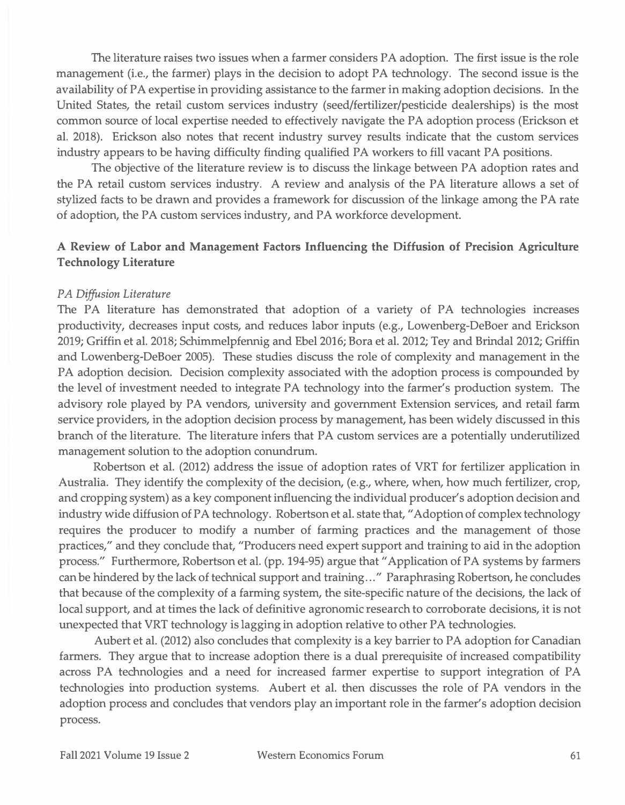The literature raises two issues when a farmer considers PA adoption. The first issue is the role management (i.e., the farmer) plays in the decision to adopt PA technology. The second issue is the availability of PA expertise in providing assistance to the farmer in making adoption decisions. In the United States, the retail custom services industry (seed/fertilizer/pesticide dealerships) is the most common source of local expertise needed to effectively navigate the PA adoption process (Erickson et al. 2018). Erickson also notes that recent industry survey results indicate that the custom services industry appears to be having difficulty finding qualified PA workers to fill vacant PA positions.

The objective of the literature review is to discuss the linkage between PA adoption rates and the PA retail custom services industry. A review and analysis of the PA literature allows a set of stylized facts to be drawn and provides a framework for discussion of the linkage among the PA rate of adoption, the PA custom services industry, and PA workforce development.

# **A Review of Labor and Management Factors Influencing the Diffusion of Precision Agriculture Technology Literature**

## *PA Diffusion Literature*

The PA literature has demonstrated that adoption of a variety of PA technologies increases productivity, decreases input costs, and reduces labor inputs (e.g., Lowenberg-DeBoer and Erickson 2019; Griffin et al. 2018; Schimmelpfennig and Ebel 2016; Bora et al. 2012; Tey and Brindal 2012; Griffin and Lowenberg-DeBoer 2005). These studies discuss the role of complexity and management in the PA adoption decision. Decision complexity associated with the adoption process is compounded by the level of investment needed to integrate PA technology into the farmer's production system. The advisory role played by PA vendors, university and government Extension services, and retail farm service providers, in the adoption decision process by management, has been widely discussed in this branch of the literature. The literature infers that PA custom services are a potentially underutilized management solution to the adoption conundrum.

Robertson et al. (2012) address the issue of adoption rates of VRT for fertilizer application in Australia. They identify the complexity of the decision, (e.g., where, when, how much fertilizer, crop, and cropping system) as a key component influencing the individual producer's adoption decision and industry wide diffusion of PA technology. Robertson et al. state that, "Adoption of complex technology requires the producer to modify a number of farming practices and the management of those practices," and they conclude that, "Producers need expert support and training to aid in the adoption process." Furthermore, Robertson et al. (pp. 194-95) argue that" Application of PA systems by farmers can be hindered by the lack of technical support and training ... " Paraphrasing Robertson, he concludes that because of the complexity of a farming system, the site-specific nature of the decisions, the lack of local support, and at times the lack of definitive agronomic research to corroborate decisions, it is not unexpected that VRT technology is lagging in adoption relative to other PA technologies.

Aubert et al. (2012) also concludes that complexity is a key barrier to PA adoption for Canadian farmers. They argue that to increase adoption there is a dual prerequisite of increased compatibility across PA technologies and a need for increased farmer expertise to support integration of PA technologies into production systems. Aubert et al. then discusses the role of PA vendors in the adoption process and concludes that vendors play an important role in the farmer's adoption decision process.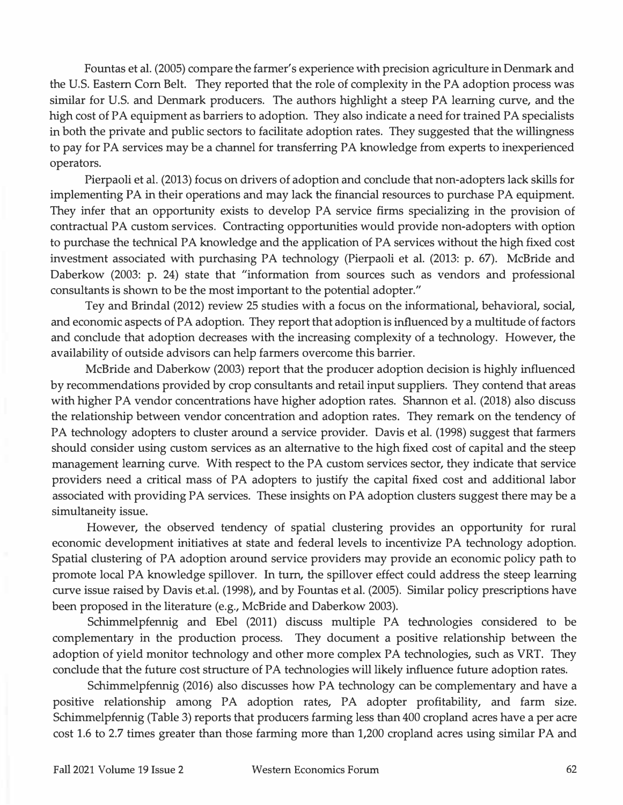**Fountas et al. (2005) compare the farmer's experience with precision agriculture in Denmark and the U.S. Eastern Corn Belt. They reported that the role of complexity in the PA adoption process was similar for U.S. and Denmark producers. The authors highlight a steep PA learning curve, and the high cost of PA equipment as barriers to adoption. They also indicate a need for trained PA specialists in both the private and public sectors to facilitate adoption rates. They suggested that the willingness to pay for PA services may be a channel for transferring PA knowledge from experts to inexperienced operators.** 

**Pierpaoli et al. (2013) focus on drivers of adoption and conclude that non-adopters lack skills for implementing PA in their operations and may lack the financial resources to purchase PA equipment. They infer that an opportunity exists to develop PA service firms specializing in the provision of contractual PA custom services. Contracting opportunities would provide non-adopters with option to purchase the technical PA knowledge and the application of PA services without the high fixed cost investment associated with purchasing PA technology (Pierpaoli et al. (2013: p. 67). McBride and Daberkow (2003: p. 24) state that "information from sources such as vendors and professional consultants is shown to be the most important to the potential adopter."** 

**Tey and Brindal (2012) review 25 studies with a focus on the informational, behavioral, social, and economic aspects of PA adoption. They report that adoption is influenced by a multitude of factors and conclude that adoption decreases with the increasing complexity of a technology. However, the availability of outside advisors can help farmers overcome this barrier.** 

**McBride and Daberkow (2003) report that the producer adoption decision is highly influenced by recommendations provided by crop consultants and retail input suppliers. They contend that areas with higher PA vendor concentrations have higher adoption rates. Shannon et al. (2018) also discuss the relationship between vendor concentration and adoption rates. They remark on the tendency of PA technology adopters to cluster around a service provider. Davis et al. (1998) suggest that farmers should consider using custom services as an alternative to the high fixed cost of capital and the steep management learning curve. With respect to the PA custom services sector, they indicate that service providers need a critical mass of PA adopters to justify the capital fixed cost and additional labor associated with providing PA services. These insights on PA adoption clusters suggest there may be a simultaneity issue.** 

**However, the observed tendency of spatial clustering provides an opportunity for rural economic development initiatives at state and federal levels to incentivize PA technology adoption. Spatial clustering of PA adoption around service providers may provide an economic policy path to promote local PA knowledge spillover. In turn, the spillover effect could address the steep learning curve issue raised by Davis et.al. (1998), and by Fountas et al. (2005). Similar policy prescriptions have been proposed in the literature (e.g., McBride and Daberkow 2003).** 

**Schimmel pfennig and Ebel (2011) discuss multiple PA technologies considered to be complementary in the production process. They document a positive relationship between the adoption of yield monitor technology and other more complex PA technologies, such as VRT. They conclude that the future cost structure of PA technologies will likely influence future adoption rates.** 

**Schimmelpfennig (2016) also discusses how PA technology can be complementary and have a positive relationship among PA adoption rates, PA adopter profitability, and farm size. Schimmelpfennig (Table 3) reports that producers farming less than 400 cropland acres have a per acre cost 1.6 to 2.7 times greater than those farming more than 1,200 cropland acres using similar PA and**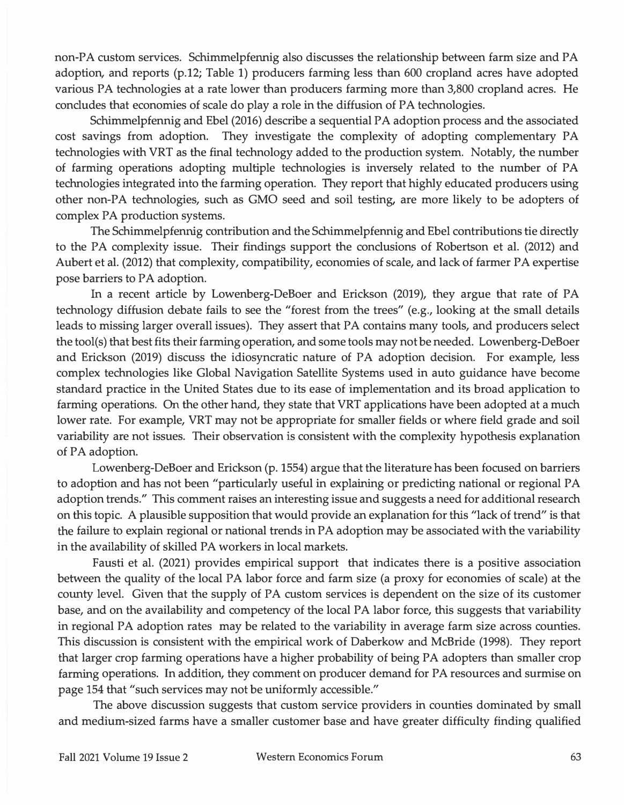non-PA custom services. Schimmelpfennig also discusses the relationship between farm size and PA adoption, and reports (p.12; Table 1) producers farming less than 600 cropland acres have adopted various PA technologies at a rate lower than producers farming more than 3,800 cropland acres. He concludes that economies of scale do play a role in the diffusion of PA technologies.

Schimmelpfennig and Ebel (2016) describe a sequential PA adoption process and the associated cost savings from adoption. They investigate the complexity of adopting complementary PA technologies with VRT as the final technology added to the production system. Notably, the number of farming operations adopting multiple technologies is inversely related to the number of PA technologies integrated into the farming operation. They report that highly educated producers using other non-PA technologies, such as GMO seed and soil testing, are more likely to be adopters of complex PA production systems.

The Schimmelpfennig contribution and the Schimmelpfennig and Ebel contributions tie directly to the PA complexity issue. Their findings support the conclusions of Robertson et al. (2012) and Aubert et al. (2012) that complexity, compatibility, economies of scale, and lack of farmer PA expertise pose barriers to PA adoption.

In a recent article by Lowenberg-DeBoer and Erickson (2019), they argue that rate of PA technology diffusion debate fails to see the "forest from the trees" (e.g., looking at the small details leads to missing larger overall issues). They assert that PA contains many tools, and producers select the tool(s) that best fits their farming operation, and some tools may not be needed. Lowenberg-DeBoer and Erickson (2019) discuss the idiosyncratic nature of PA adoption decision. For example, less complex technologies like Global Navigation Satellite Systems used in auto guidance have become standard practice in the United States due to its ease of implementation and its broad application to farming operations. On the other hand, they state that VRT applications have been adopted at a much lower rate. For example, VRT may not be appropriate for smaller fields or where field grade and soil variability are not issues. Their observation is consistent with the complexity hypothesis explanation of PA adoption.

Lowenberg-DeBoer and Erickson (p. 1554) argue that the literature has been focused on barriers to adoption and has not been "particularly useful in explaining or predicting national or regional PA adoption trends." This comment raises an interesting issue and suggests a need for additional research on this topic. A plausible supposition that would provide an explanation for this "lack of trend" is that the failure to explain regional or national trends in PA adoption may be associated with the variability in the availability of skilled PA workers in local markets.

Fausti et al. (2021) provides empirical support that indicates there is a positive association between the quality of the local PA labor force and farm size (a proxy for economies of scale) at the county level. Given that the supply of PA custom services is dependent on the size of its customer base, and on the availability and competency of the local PA labor force, this suggests that variability in regional PA adoption rates may be related to the variability in average farm size across counties. This discussion is consistent with the empirical work of Daberkow and McBride (1998). They report that larger crop farming operations have a higher probability of being PA adopters than smaller crop farming operations. In addition, they comment on producer demand for PA resources and surmise on page 154 that "such services may not be uniformly accessible."

The above discussion suggests that custom service providers in counties dominated by small and medium-sized farms have a smaller customer base and have greater difficulty finding qualified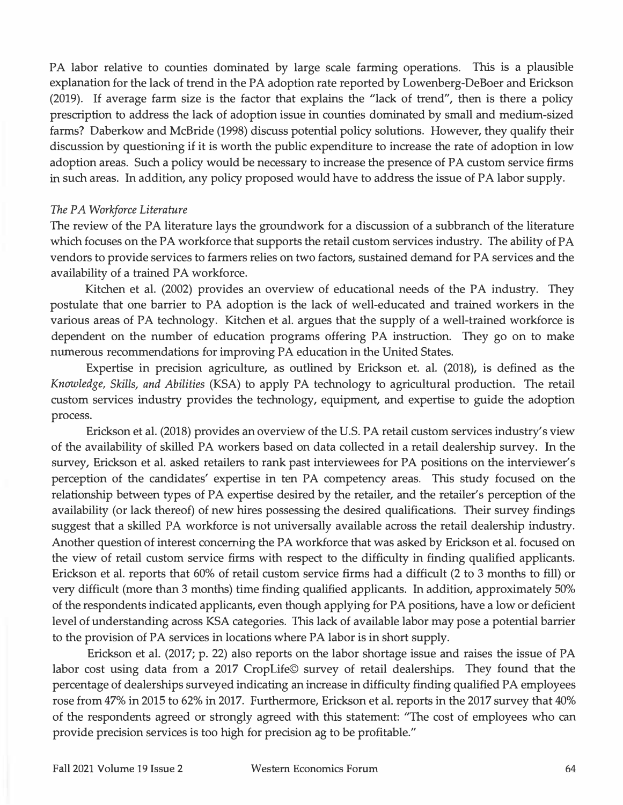PA labor relative to counties dominated by large scale farming operations. This is a plausible **explanation for the lack of trend in the PA adoption rate reported by Lowenberg-DeBoer and Erickson (2019). If average farm size is the factor that explains the "lack of trend", then is there a policy prescription to address the lack of adoption issue in counties dominated by small and medium-sized farms? Daberkow and McBride (1998) discuss potential policy solutions. However, they qualify their discussion by questioning if it is worth the public expenditure to increase the rate of adoption in low adoption areas. Such a policy would be necessary to increase the presence of PA custom service firms in such areas. In addition, any policy proposed would have to address the issue of PA labor supply.** 

#### *The PA Workforce Literature*

**The review of the PA literature lays the groundwork for a discussion of a subbranch of the literature which focuses on the PA workforce that supports the retail custom services industry. The ability of PA vendors to provide services to farmers relies on two factors, sustained demand for PA services and the availability of a trained PA workforce.** 

**Kitchen et al. (2002) provides an overview of educational needs of the PA industry. They postulate that one barrier to PA adoption is the lack of well-educated and trained workers in the various areas of PA technology. Kitchen et al. argues that the supply of a well-trained workforce is dependent on the number of education programs offering PA instruction. They go on to make numerous recommendations for improving PA education in the United States.** 

**Expertise in precision agriculture, as outlined by Erickson et. al. (2018), is defined as the**  *Knowledge, Skills, and Abilities* **(KSA) to apply PA technology to agricultural production. The retail custom services industry provides the technology, equipment, and expertise to guide the adoption process.** 

**Erickson et al. (2018) provides an overview of the U.S. PA retail custom services industry's view of the availability of skilled PA workers based on data collected in a retail dealership survey. In the survey, Erickson et al. asked retailers to rank past interviewees for PA positions on the interviewer's perception of the candidates' expertise in ten PA competency areas. This study focused on the relationship between types of PA expertise desired by the retailer, and the retailer's perception of the availability ( or lack thereof) of new hires possessing the desired qualifications. Their survey findings suggest that a skilled PA workforce is not universally available across the retail dealership industry. Another question of interest concerning the PA workforce that was asked by Erickson et al. focused on the view of retail custom service firms with respect to the difficulty in finding qualified applicants. Erickson et al. reports that 60% of retail custom service firms had a difficult (2 to 3 months to fill) or very difficult (more than 3 months) time finding qualified applicants. In addition, approximately 50% of the respondents indicated applicants, even though applying for PA positions, have a low or deficient level of understanding across KSA categories. This lack of available labor may pose a potential barrier to the provision of PA services in locations where PA labor is in short supply.** 

**Erickson et al. (2017; p. 22) also reports on the labor shortage issue and raises the issue of PA labor cost using data from a 2017 CropLife© survey of retail dealerships. They found that the percentage of dealerships surveyed indicating an increase in difficulty finding qualified PA employees rose from 47% in 2015 to 62% in 2017. Furthermore, Erickson et al. reports in the 2017 survey that 40% of the respondents agreed or strongly agreed with this statement: "The cost of employees who can provide precision services is too high for precision ag to be profitable."**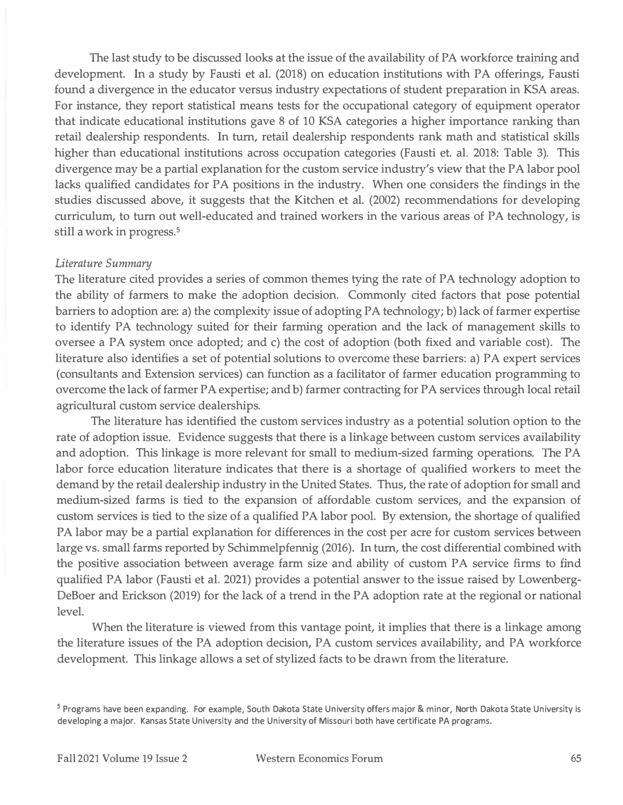The last study to be discussed looks at the issue of the availability of PA workforce training and development. In a study by Fausti et al. (2018) on education institutions with PA offerings, Fausti found a divergence in the educator versus industry expectations of student preparation in KSA areas. For instance, they report statistical means tests for the occupational category of equipment operator that indicate educational institutions gave 8 of 10 KSA categories a higher importance ranking than retail dealership respondents. In turn, retail dealership respondents rank math and statistical skills higher than educational institutions across occupation categories (Fausti et. al. 2018: Table 3). This divergence may be a partial explanation for the custom service industry's view that the PA labor pool lacks qualified candidates for PA positions in the industry. When one considers the findings in the studies discussed above, it suggests that the Kitchen et al. (2002) recommendations for developing curriculum, to turn out well-educated and trained workers in the various areas of PA technology, is still a work in progress. **<sup>5</sup>**

#### *Literature Summary*

The literature cited provides a series of common themes tying the rate of PA technology adoption to the ability of farmers to make the adoption decision. Commonly cited factors that pose potential barriers to adoption are: a) the complexity issue of adopting PA technology; b) lack of farmer expertise to identify PA technology suited for their farming operation and the lack of management skills to oversee a PA system once adopted; and c) the cost of adoption (both fixed and variable cost). The literature also identifies a set of potential solutions to overcome these barriers: a) PA expert services (consultants and Extension services) can function as a facilitator of farmer education programming to overcome the lack of farmer PA expertise; and b) farmer contracting for PA services through local retail agricultural custom service dealerships.

The literature has identified the custom services industry as a potential solution option to the rate of adoption issue. Evidence suggests that there is a linkage between custom services availability and adoption. This linkage is more relevant for small to medium-sized farming operations. The PA labor force education literature indicates that there is a shortage of qualified workers to meet the demand by the retail dealership industry in the United States. Thus, the rate of adoption for small and medium-sized farms is tied to the expansion of affordable custom services, and the expansion of custom services is tied to the size of a qualified PA labor pool. By extension, the shortage of qualified PA labor may be a partial explanation for differences in the cost per acre for custom services between large vs. small farms reported by Schimmelpfennig (2016). In turn, the cost differential combined with the positive association between average farm size and ability of custom PA service firms to find qualified PA labor (Fausti et al. 2021) provides a potential answer to the issue raised by Lowenberg-DeBoer and Erickson (2019) for the lack of a trend in the PA adoption rate at the regional or national level.

When the literature is viewed from this vantage point, it implies that there is a linkage among the literature issues of the PA adoption decision, PA custom services availability, and PA workforce development. This linkage allows a set of stylized facts to be drawn from the literature.

<sup>&</sup>lt;sup>5</sup> Programs have been expanding. For example, South Dakota State University offers major & minor, North Dakota State University is developing a major. Kansas State University and the University of Missouri both have certificate PA programs.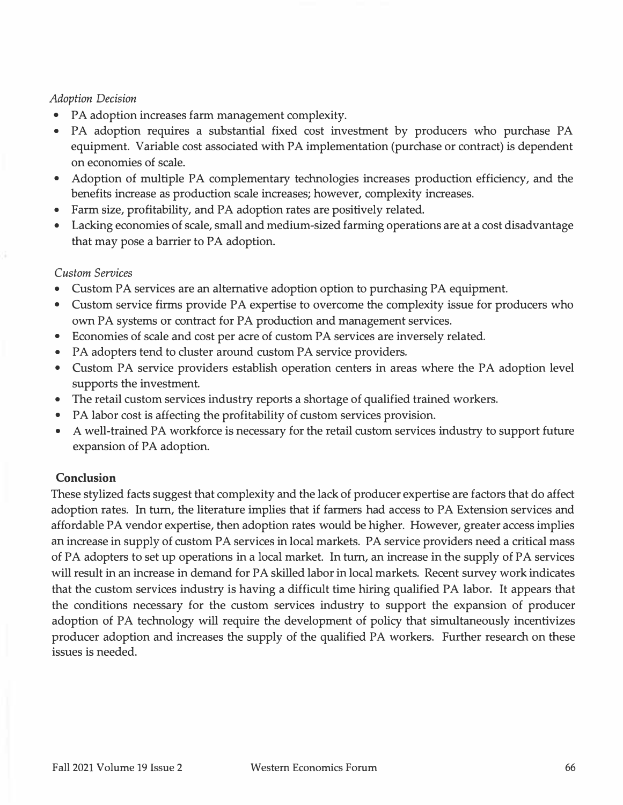## *Adoption Decision*

- **PA adoption increases farm management complexity.**
- **PA adoption requires a substantial fixed cost investment by producers who purchase PA equipment. Variable cost associated with PA implementation (purchase or contract) is dependent on economies of scale.**
- **Adoption of multiple PA complementary technologies increases production efficiency, and the benefits increase as production scale increases; however, complexity increases.**
- **Farm size, profitability, and PA adoption rates are positively related.**
- **Lacking economies of scale, small and medium-sized farming operations are at a cost disadvantage that may pose a barrier to PA adoption.**

## *Custom Services*

- **Custom PA services are an alternative adoption option to purchasing PA equipment.**
- **Custom service firms provide PA expertise to overcome the complexity issue for producers who own PA systems or contract for PA production and management services.**
- **Economies of scale and cost per acre of custom PA services are inversely related.**
- **PA adopters tend to cluster around custom PA service providers.**
- **Custom PA service providers establish operation centers in areas where the PA adoption level supports the investment.**
- **The retail custom services industry reports a shortage of qualified trained workers.**
- **PA labor cost is affecting the profitability of custom services provision.**
- **A well-trained PA workforce is necessary for the retail custom services industry to support future expansion of PA adoption.**

# **Conclusion**

**These stylized facts suggest that complexity and the lack of producer expertise are factors that do affect adoption rates. In turn, the literature implies that if farmers had access to PA Extension services and affordable PA vendor expertise, then adoption rates would be higher. However, greater access implies an increase in supply of custom PA services in local markets. PA service providers need a critical mass of PA adopters to set up operations in a local market. In turn, an increase in the supply of PA services will result in an increase in demand for PA skilled labor in local markets. Recent survey work indicates that the custom services industry is having a difficult time hiring qualified PA labor. It appears that the conditions necessary for the custom services industry to support the expansion of producer adoption of PA technology will require the development of policy that simultaneously incentivizes producer adoption and increases the supply of the qualified PA workers. Further research on these issues is needed.**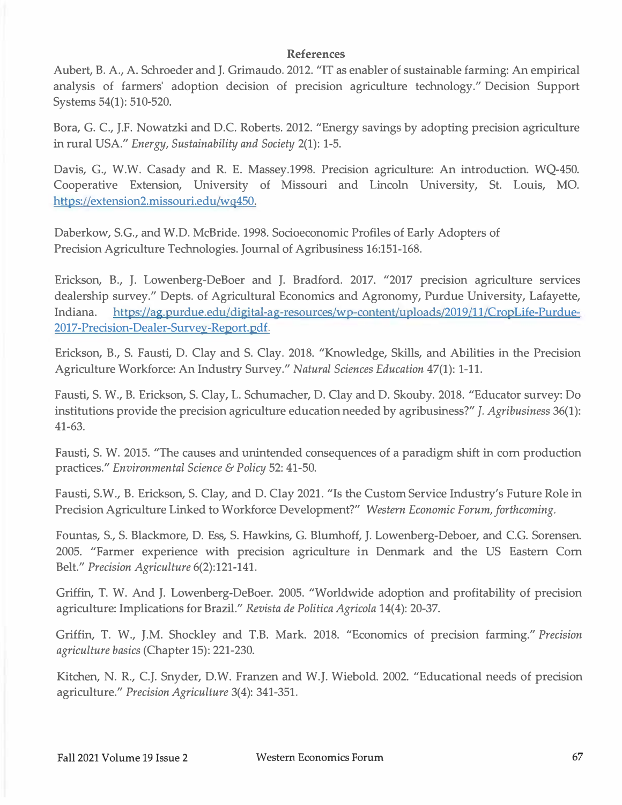#### **References**

Aubert, B. A., A. Schroeder and **J.** Grimaudo. 2012. "IT as enabler of sustainable farming: An empirical analysis of farmers' adoption decision of precision agriculture technology." Decision Support Systems 54(1): 510-520.

Bora, G. C., J.F. Nowatzki and D.C. Roberts. 2012. "Energy savings by adopting precision agriculture in rural *USA.11 Energy, Sustainability and Society* 2(1): 1-5.

Davis, G., W.W. Casady and R. E. Massey.1998. Precision agriculture: An introduction. WQ-450. Cooperative Extension, University of Missouri and Lincoln University, St. Louis, MO. https://extension2.missouri.edu/wq450.

Daberkow, S.G., and W.D. McBride. 1998. Socioeconomic Profiles of Early Adopters of Precision Agriculture Technologies. Journal of Agribusiness 16:151-168.

Erickson, B., **J.** Lowenberg-DeBoer and J. Bradford. 2017. "2017 precision agriculture services dealership survey." Depts. of Agricultural Economics and Agronomy, Purdue University, Lafayette, Indiana. https://ag.purdue.edu/digital-ag-resources/wp-content/uploads/2019/11/CropLife-Purdue-2017-Precision-Dealer-Survey-Report.pdf.

Erickson, B., S. Fausti, D. Clay and S. Clay. 2018. "Knowledge, Skills, and Abilities in the Precision Agriculture Workforce: An Industry Survey." *Natural Sciences Education* 47(1): 1-11.

Fausti, S. W., B. Erickson, S. Clay, L. Schumacher, D. Clay and D. Skouby. 2018. "Educator survey: Do institutions provide the precision agriculture education needed by agribusiness?" *J. Agribusiness* 36(1): 41-63.

Fausti, S. W. 2015. "The causes and unintended consequences of a paradigm shift in com production practices." *Environmental Science* & *Policy* 52: 41-50.

Fausti, S.W., B. Erickson, S. Clay, and D. Clay 2021. "Is the Custom Service Industry's Future Role in Precision Agriculture Linked to Workforce Development?" *Western Economic Forum, forthcoming.* 

Fountas, S., S. Blackmore, D. Ess, S. Hawkins, G. Blumhoff, J. Lowenberg-Deboer, and C.G. Sorensen. 2005. "Farmer experience with precision agriculture in Denmark and the US Eastern Corn Belt." *Precision Agriculture* 6(2):121-141.

Griffin, T. W. And **J.** Lowenberg-DeBoer. 2005. "Worldwide adoption and profitability of precision agriculture: Implications for Brazil." *Revista de Politica Agricola* 14(4): 20-37.

Griffin, T. W., J.M. Shockley and T.B. Mark. 2018. "Economics of precision farming." *Precision agriculture basics* (Chapter 15): 221-230.

Kitchen, N. R., C.J. Snyder, D.W. Franzen and W.J. Wiebold. 2002. "Educational needs of precision agriculture." *Precision Agriculture* 3(4): 341-351.